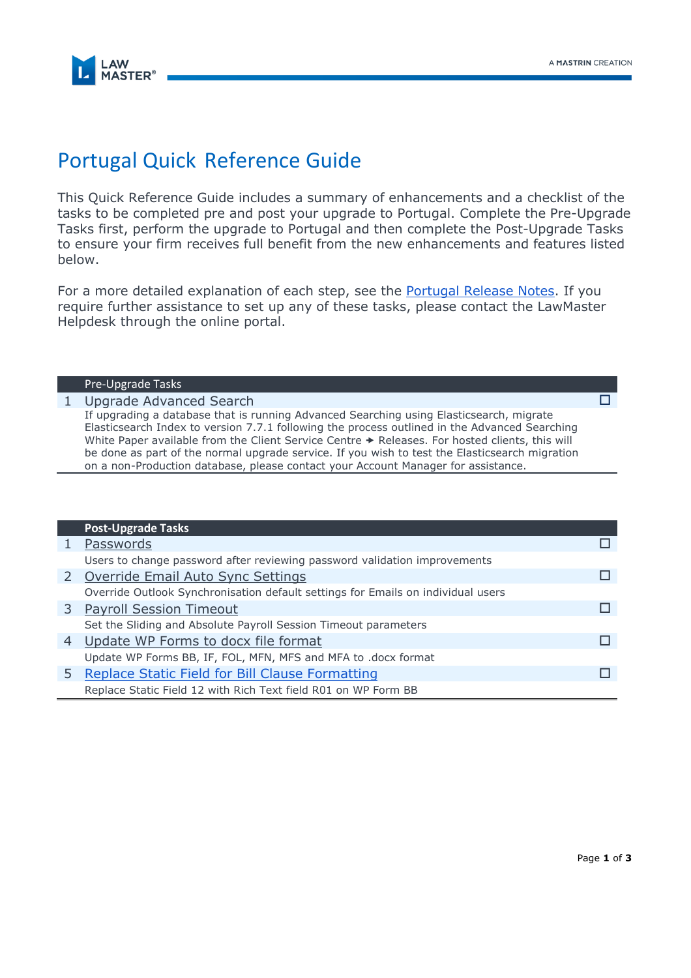

# Portugal Quick Reference Guide

This Quick Reference Guide includes a summary of enhancements and a checklist of the tasks to be completed pre and post your upgrade to Portugal. Complete the Pre-Upgrade Tasks first, perform the upgrade to Portugal and then complete the Post-Upgrade Tasks to ensure your firm receives full benefit from the new enhancements and features listed below.

For a more detailed explanation of each step, see the **Portugal Release Notes**. If you require further assistance to set up any of these tasks, please contact the LawMaster Helpdesk through the online portal.

#### Pre-Upgrade Tasks

### 1 Upgrade Advanced Search

If upgrading a database that is running Advanced Searching using Elasticsearch, migrate Elasticsearch Index to version 7.7.1 following the process outlined in the Advanced Searching White Paper available from the Client Service Centre  $\rightarrow$  Releases. For hosted clients, this will be done as part of the normal upgrade service. If you wish to test the Elasticsearch migration on a non-Production database, please contact your Account Manager for assistance.

|   | <b>Post-Upgrade Tasks</b>                                                        |  |
|---|----------------------------------------------------------------------------------|--|
|   | Passwords                                                                        |  |
|   | Users to change password after reviewing password validation improvements        |  |
|   | 2 Override Email Auto Sync Settings                                              |  |
|   | Override Outlook Synchronisation default settings for Emails on individual users |  |
|   | 3 Payroll Session Timeout                                                        |  |
|   | Set the Sliding and Absolute Payroll Session Timeout parameters                  |  |
| 4 | Update WP Forms to docx file format                                              |  |
|   | Update WP Forms BB, IF, FOL, MFN, MFS and MFA to .docx format                    |  |
|   | Replace Static Field for Bill Clause Formatting                                  |  |
|   | Replace Static Field 12 with Rich Text field R01 on WP Form BB                   |  |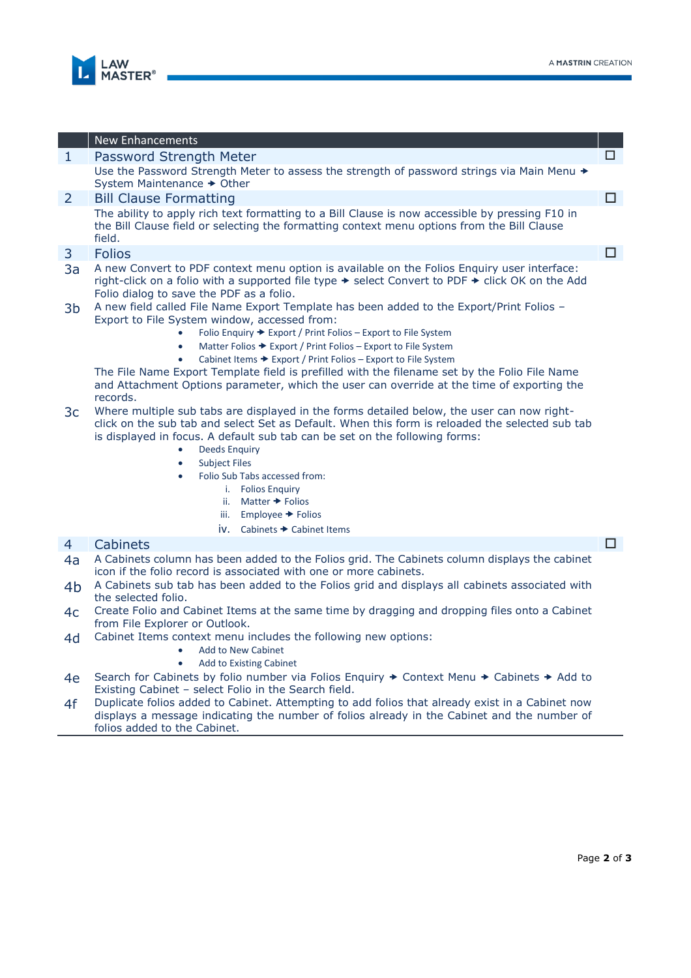

|                | <b>New Enhancements</b>                                                                                                                                                                                                                                                                                                                                                                                                                                                                                                                                 |        |
|----------------|---------------------------------------------------------------------------------------------------------------------------------------------------------------------------------------------------------------------------------------------------------------------------------------------------------------------------------------------------------------------------------------------------------------------------------------------------------------------------------------------------------------------------------------------------------|--------|
| $\mathbf{1}$   | Password Strength Meter                                                                                                                                                                                                                                                                                                                                                                                                                                                                                                                                 | □      |
|                | Use the Password Strength Meter to assess the strength of password strings via Main Menu →<br>System Maintenance → Other                                                                                                                                                                                                                                                                                                                                                                                                                                |        |
| 2              | <b>Bill Clause Formatting</b>                                                                                                                                                                                                                                                                                                                                                                                                                                                                                                                           | $\Box$ |
|                | The ability to apply rich text formatting to a Bill Clause is now accessible by pressing F10 in<br>the Bill Clause field or selecting the formatting context menu options from the Bill Clause<br>field.                                                                                                                                                                                                                                                                                                                                                |        |
| 3              | <b>Folios</b>                                                                                                                                                                                                                                                                                                                                                                                                                                                                                                                                           | $\Box$ |
| 3a             | A new Convert to PDF context menu option is available on the Folios Enquiry user interface:<br>right-click on a folio with a supported file type $\rightarrow$ select Convert to PDF $\rightarrow$ click OK on the Add<br>Folio dialog to save the PDF as a folio.                                                                                                                                                                                                                                                                                      |        |
| 3 <sub>b</sub> | A new field called File Name Export Template has been added to the Export/Print Folios -<br>Export to File System window, accessed from:<br>Folio Enquiry → Export / Print Folios – Export to File System<br>Matter Folios → Export / Print Folios – Export to File System<br>$\bullet$<br>Cabinet Items → Export / Print Folios - Export to File System<br>The File Name Export Template field is prefilled with the filename set by the Folio File Name<br>and Attachment Options parameter, which the user can override at the time of exporting the |        |
| 3 <sub>c</sub> | records.<br>Where multiple sub tabs are displayed in the forms detailed below, the user can now right-<br>click on the sub tab and select Set as Default. When this form is reloaded the selected sub tab<br>is displayed in focus. A default sub tab can be set on the following forms:<br><b>Deeds Enquiry</b><br>$\bullet$<br><b>Subject Files</b><br>$\bullet$<br>Folio Sub Tabs accessed from:<br>$\bullet$<br>i. Folios Enquiry<br>Matter $\rightarrow$ Folios<br>ii.                                                                             |        |
|                | Employee $\rightarrow$ Folios<br>iii.                                                                                                                                                                                                                                                                                                                                                                                                                                                                                                                   |        |
|                | iv.<br>Cabinets → Cabinet Items                                                                                                                                                                                                                                                                                                                                                                                                                                                                                                                         |        |
| $\overline{4}$ | <b>Cabinets</b>                                                                                                                                                                                                                                                                                                                                                                                                                                                                                                                                         | □      |
| 4a             | A Cabinets column has been added to the Folios grid. The Cabinets column displays the cabinet<br>icon if the folio record is associated with one or more cabinets.                                                                                                                                                                                                                                                                                                                                                                                      |        |
| 4b             | A Cabinets sub tab has been added to the Folios grid and displays all cabinets associated with<br>the selected folio.                                                                                                                                                                                                                                                                                                                                                                                                                                   |        |
| 4c             | Create Folio and Cabinet Items at the same time by dragging and dropping files onto a Cabinet<br>from File Explorer or Outlook.                                                                                                                                                                                                                                                                                                                                                                                                                         |        |
| 4d             | Cabinet Items context menu includes the following new options:<br><b>Add to New Cabinet</b>                                                                                                                                                                                                                                                                                                                                                                                                                                                             |        |
|                | <b>Add to Existing Cabinet</b>                                                                                                                                                                                                                                                                                                                                                                                                                                                                                                                          |        |
| 4e             | Search for Cabinets by folio number via Folios Enquiry → Context Menu → Cabinets → Add to<br>Existing Cabinet - select Folio in the Search field.                                                                                                                                                                                                                                                                                                                                                                                                       |        |
| 4f             | Duplicate folios added to Cabinet. Attempting to add folios that already exist in a Cabinet now<br>displays a message indicating the number of folios already in the Cabinet and the number of<br>folios added to the Cabinet.                                                                                                                                                                                                                                                                                                                          |        |
|                |                                                                                                                                                                                                                                                                                                                                                                                                                                                                                                                                                         |        |